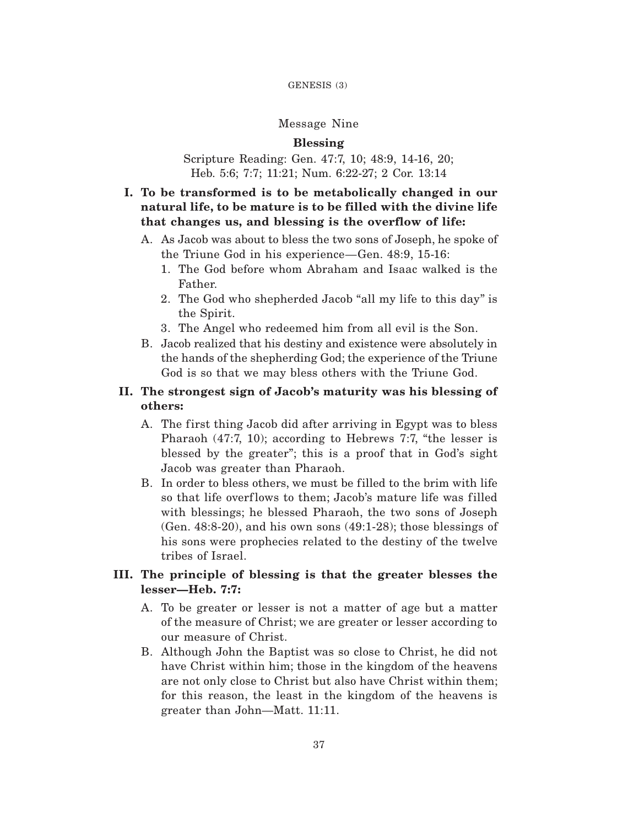#### GENESIS (3)

### Message Nine

### **Blessing**

### Scripture Reading: Gen. 47:7, 10; 48:9, 14-16, 20; Heb. 5:6; 7:7; 11:21; Num. 6:22-27; 2 Cor. 13:14

# **I. To be transformed is to be metabolically changed in our natural life, to be mature is to be filled with the divine life that changes us, and blessing is the overflow of life:**

- A. As Jacob was about to bless the two sons of Joseph, he spoke of the Triune God in his experience—Gen. 48:9, 15-16:
	- 1. The God before whom Abraham and Isaac walked is the Father.
	- 2. The God who shepherded Jacob "all my life to this day" is the Spirit.
	- 3. The Angel who redeemed him from all evil is the Son.
- B. Jacob realized that his destiny and existence were absolutely in the hands of the shepherding God; the experience of the Triune God is so that we may bless others with the Triune God.

## **II. The strongest sign of Jacob's maturity was his blessing of others:**

- A. The first thing Jacob did after arriving in Egypt was to bless Pharaoh (47:7, 10); according to Hebrews 7:7, "the lesser is blessed by the greater"; this is a proof that in God's sight Jacob was greater than Pharaoh.
- B. In order to bless others, we must be filled to the brim with life so that life overflows to them; Jacob's mature life was filled with blessings; he blessed Pharaoh, the two sons of Joseph (Gen. 48:8-20), and his own sons (49:1-28); those blessings of his sons were prophecies related to the destiny of the twelve tribes of Israel.

## **III. The principle of blessing is that the greater blesses the lesser—Heb. 7:7:**

- A. To be greater or lesser is not a matter of age but a matter of the measure of Christ; we are greater or lesser according to our measure of Christ.
- B. Although John the Baptist was so close to Christ, he did not have Christ within him; those in the kingdom of the heavens are not only close to Christ but also have Christ within them; for this reason, the least in the kingdom of the heavens is greater than John—Matt. 11:11.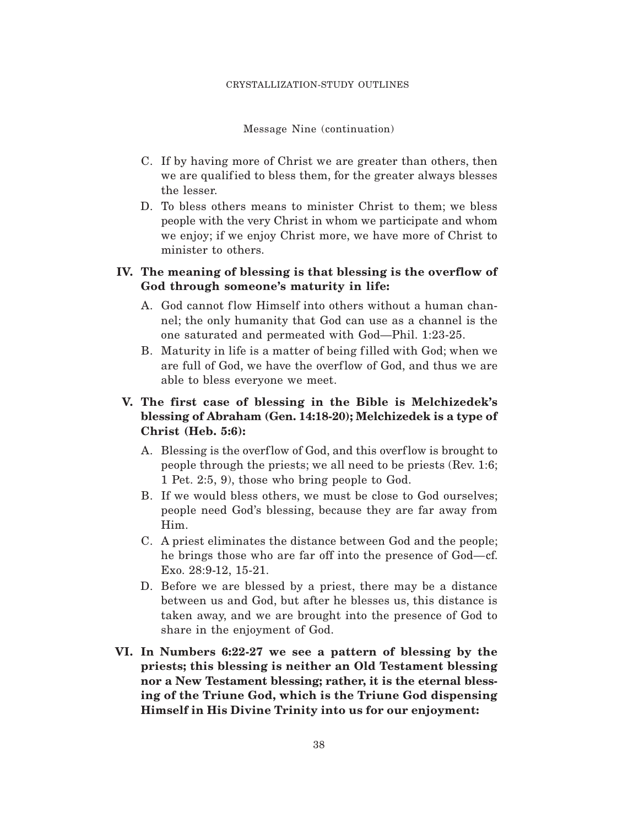Message Nine (continuation)

- C. If by having more of Christ we are greater than others, then we are qualified to bless them, for the greater always blesses the lesser.
- D. To bless others means to minister Christ to them; we bless people with the very Christ in whom we participate and whom we enjoy; if we enjoy Christ more, we have more of Christ to minister to others.

# **IV. The meaning of blessing is that blessing is the overflow of God through someone's maturity in life:**

- A. God cannot flow Himself into others without a human channel; the only humanity that God can use as a channel is the one saturated and permeated with God—Phil. 1:23-25.
- B. Maturity in life is a matter of being filled with God; when we are full of God, we have the overflow of God, and thus we are able to bless everyone we meet.

# **V. The first case of blessing in the Bible is Melchizedek's blessing of Abraham (Gen. 14:18-20); Melchizedek is a type of Christ (Heb. 5:6):**

- A. Blessing is the overflow of God, and this overflow is brought to people through the priests; we all need to be priests (Rev. 1:6; 1 Pet. 2:5, 9), those who bring people to God.
- B. If we would bless others, we must be close to God ourselves; people need God's blessing, because they are far away from Him.
- C. A priest eliminates the distance between God and the people; he brings those who are far off into the presence of God—cf. Exo. 28:9-12, 15-21.
- D. Before we are blessed by a priest, there may be a distance between us and God, but after he blesses us, this distance is taken away, and we are brought into the presence of God to share in the enjoyment of God.
- **VI. In Numbers 6:22-27 we see a pattern of blessing by the priests; this blessing is neither an Old Testament blessing nor a New Testament blessing; rather, it is the eternal blessing of the Triune God, which is the Triune God dispensing Himself in His Divine Trinity into us for our enjoyment:**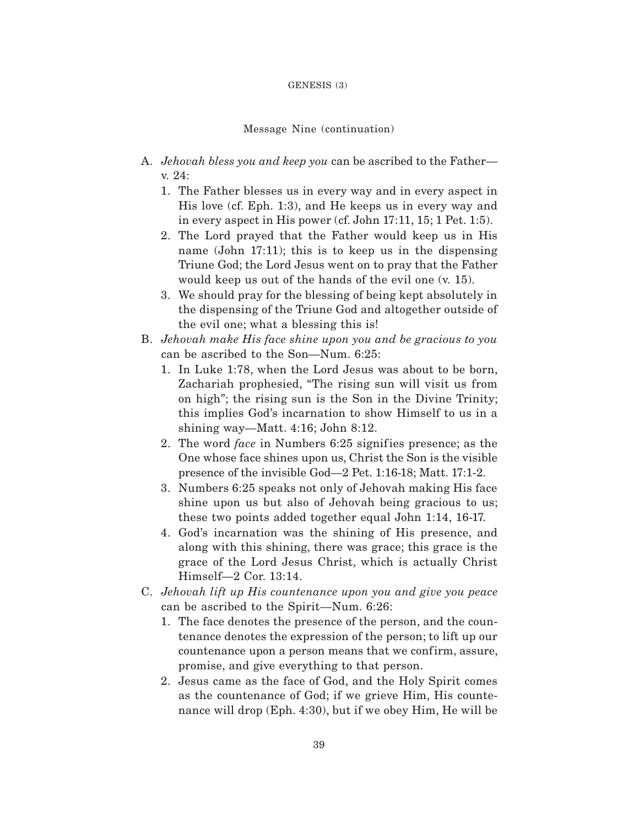#### GENESIS (3)

#### Message Nine (continuation)

- A. *Jehovah bless you and keep you* can be ascribed to the Father v. 24:
	- 1. The Father blesses us in every way and in every aspect in His love (cf. Eph. 1:3), and He keeps us in every way and in every aspect in His power (cf. John 17:11, 15; 1 Pet. 1:5).
	- 2. The Lord prayed that the Father would keep us in His name (John 17:11); this is to keep us in the dispensing Triune God; the Lord Jesus went on to pray that the Father would keep us out of the hands of the evil one (v. 15).
	- 3. We should pray for the blessing of being kept absolutely in the dispensing of the Triune God and altogether outside of the evil one; what a blessing this is!
- B. *Jehovah make His face shine upon you and be gracious to you* can be ascribed to the Son—Num. 6:25:
	- 1. In Luke 1:78, when the Lord Jesus was about to be born, Zachariah prophesied, "The rising sun will visit us from on high"; the rising sun is the Son in the Divine Trinity; this implies God's incarnation to show Himself to us in a shining way—Matt. 4:16; John 8:12.
	- 2. The word *face* in Numbers 6:25 signifies presence; as the One whose face shines upon us, Christ the Son is the visible presence of the invisible God—2 Pet. 1:16-18; Matt. 17:1-2.
	- 3. Numbers 6:25 speaks not only of Jehovah making His face shine upon us but also of Jehovah being gracious to us; these two points added together equal John 1:14, 16-17.
	- 4. God's incarnation was the shining of His presence, and along with this shining, there was grace; this grace is the grace of the Lord Jesus Christ, which is actually Christ Himself—2 Cor. 13:14.
- C. *Jehovah lift up His countenance upon you and give you peace* can be ascribed to the Spirit—Num. 6:26:
	- 1. The face denotes the presence of the person, and the countenance denotes the expression of the person; to lift up our countenance upon a person means that we confirm, assure, promise, and give everything to that person.
	- 2. Jesus came as the face of God, and the Holy Spirit comes as the countenance of God; if we grieve Him, His countenance will drop (Eph. 4:30), but if we obey Him, He will be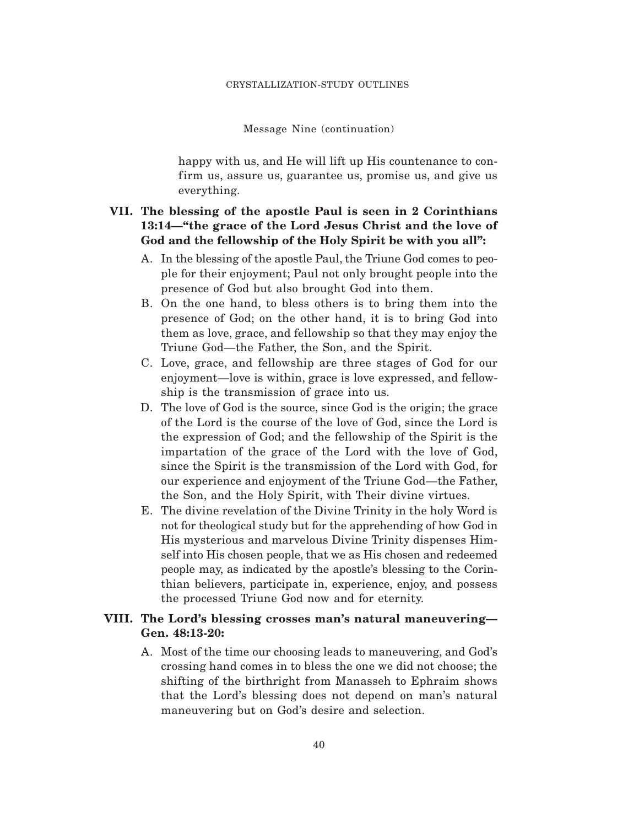#### Message Nine (continuation)

happy with us, and He will lift up His countenance to confirm us, assure us, guarantee us, promise us, and give us everything.

# **VII. The blessing of the apostle Paul is seen in 2 Corinthians 13:14—"the grace of the Lord Jesus Christ and the love of God and the fellowship of the Holy Spirit be with you all":**

- A. In the blessing of the apostle Paul, the Triune God comes to people for their enjoyment; Paul not only brought people into the presence of God but also brought God into them.
- B. On the one hand, to bless others is to bring them into the presence of God; on the other hand, it is to bring God into them as love, grace, and fellowship so that they may enjoy the Triune God—the Father, the Son, and the Spirit.
- C. Love, grace, and fellowship are three stages of God for our enjoyment—love is within, grace is love expressed, and fellowship is the transmission of grace into us.
- D. The love of God is the source, since God is the origin; the grace of the Lord is the course of the love of God, since the Lord is the expression of God; and the fellowship of the Spirit is the impartation of the grace of the Lord with the love of God, since the Spirit is the transmission of the Lord with God, for our experience and enjoyment of the Triune God—the Father, the Son, and the Holy Spirit, with Their divine virtues.
- E. The divine revelation of the Divine Trinity in the holy Word is not for theological study but for the apprehending of how God in His mysterious and marvelous Divine Trinity dispenses Himself into His chosen people, that we as His chosen and redeemed people may, as indicated by the apostle's blessing to the Corinthian believers, participate in, experience, enjoy, and possess the processed Triune God now and for eternity.

### **VIII. The Lord's blessing crosses man's natural maneuvering— Gen. 48:13-20:**

A. Most of the time our choosing leads to maneuvering, and God's crossing hand comes in to bless the one we did not choose; the shifting of the birthright from Manasseh to Ephraim shows that the Lord's blessing does not depend on man's natural maneuvering but on God's desire and selection.